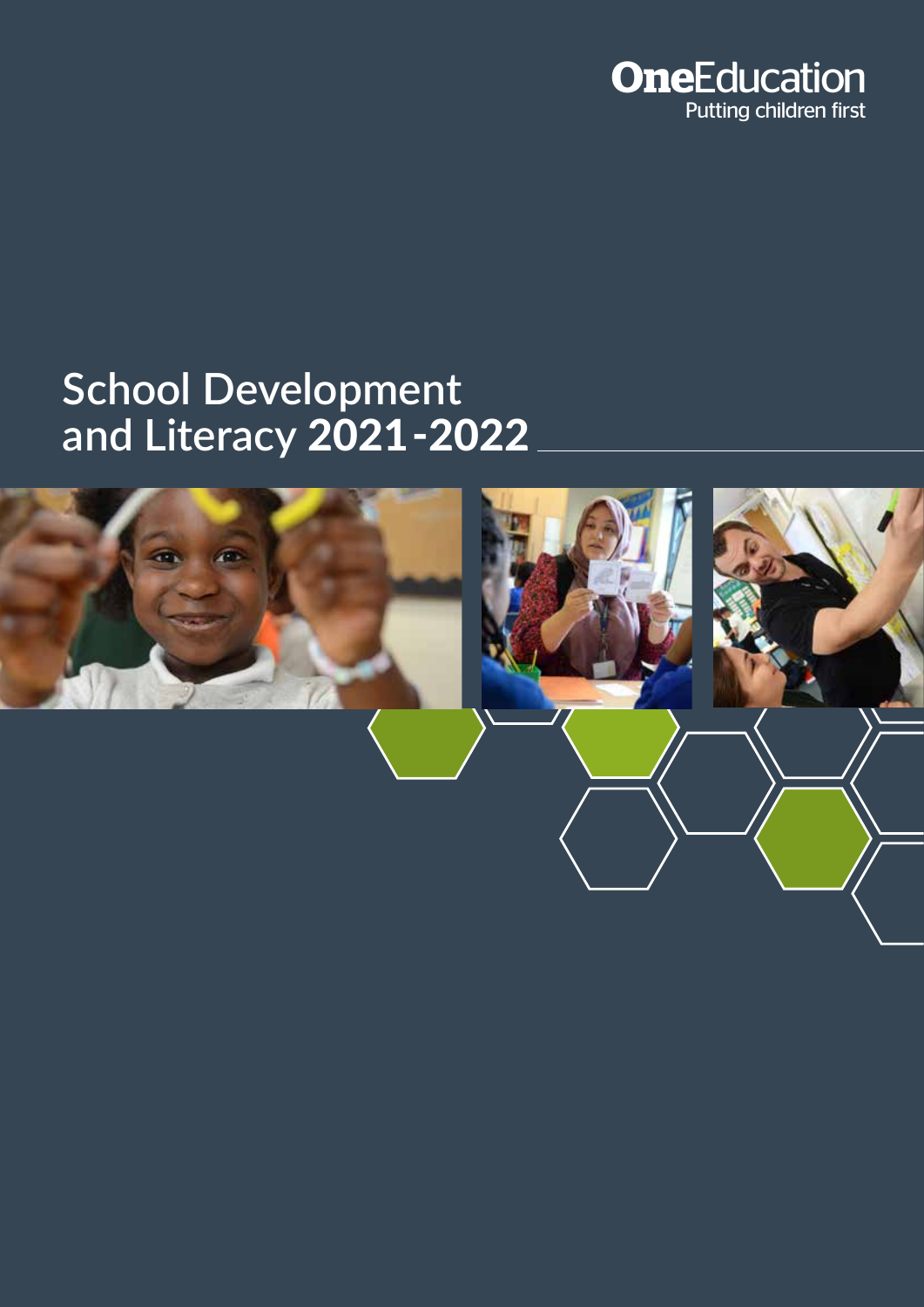

# **School Development**  and Literacy 2021-2022

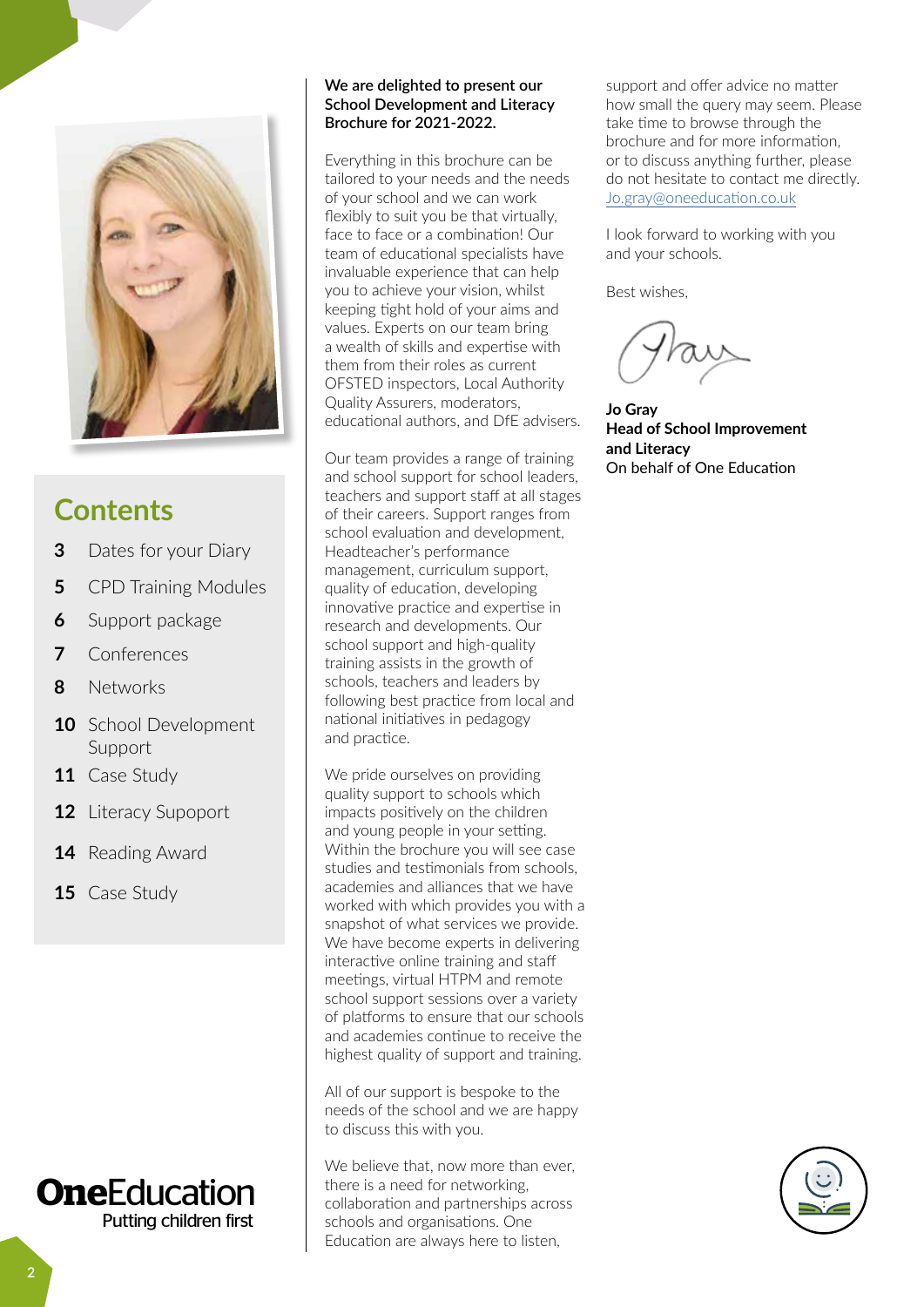

## **Contents**

- **3** Dates for your Diary
- **5** CPD Training Modules
- **6** Support package
- **7** Conferences
- **8** Networks
- **10** School Development Support
- **11** Case Study
- **12** Literacy Supoport
- **14** Reading Award
- **15** Case Study



#### **We are delighted to present our School Development and Literacy Brochure for 2021-2022.**

Everything in this brochure can be tailored to your needs and the needs of your school and we can work flexibly to suit you be that virtually. face to face or a combination! Our team of educational specialists have invaluable experience that can help you to achieve your vision, whilst keeping tight hold of your aims and values. Experts on our team bring a wealth of skills and expertise with them from their roles as current OFSTED inspectors, Local Authority Quality Assurers, moderators, educational authors, and DfE advisers.

Our team provides a range of training and school support for school leaders, teachers and support staff at all stages of their careers. Support ranges from school evaluation and development, Headteacher's performance management, curriculum support, quality of education, developing innovative practice and expertise in research and developments. Our school support and high-quality training assists in the growth of schools, teachers and leaders by following best practice from local and national initiatives in pedagogy and practice.

We pride ourselves on providing quality support to schools which impacts positively on the children and young people in your setting. Within the brochure you will see case studies and testimonials from schools, academies and alliances that we have worked with which provides you with a snapshot of what services we provide. We have become experts in delivering interactive online training and staff meetings, virtual HTPM and remote school support sessions over a variety of platforms to ensure that our schools and academies continue to receive the highest quality of support and training.

All of our support is bespoke to the needs of the school and we are happy to discuss this with you.

We believe that, now more than ever, there is a need for networking, collaboration and partnerships across schools and organisations. One Education are always here to listen,

<u>Elay wonccuu</u> support and offer advice no matter how small the query may seem. Please take time to browse through the brochure and for more information, or to discuss anything further, please do not hesitate to contact me directly. [Jo.gray@oneeducation.co.uk](mailto:Jo.gray%40oneeducation.co.uk?subject=)

**Payroll Ocer Payroll / Finance Pension Transaction** I look forward to working with you and your schools.

Best wishes,

£

**Business manager Jo Gray Head of School Improvement and Literacy** On behalf of One Education

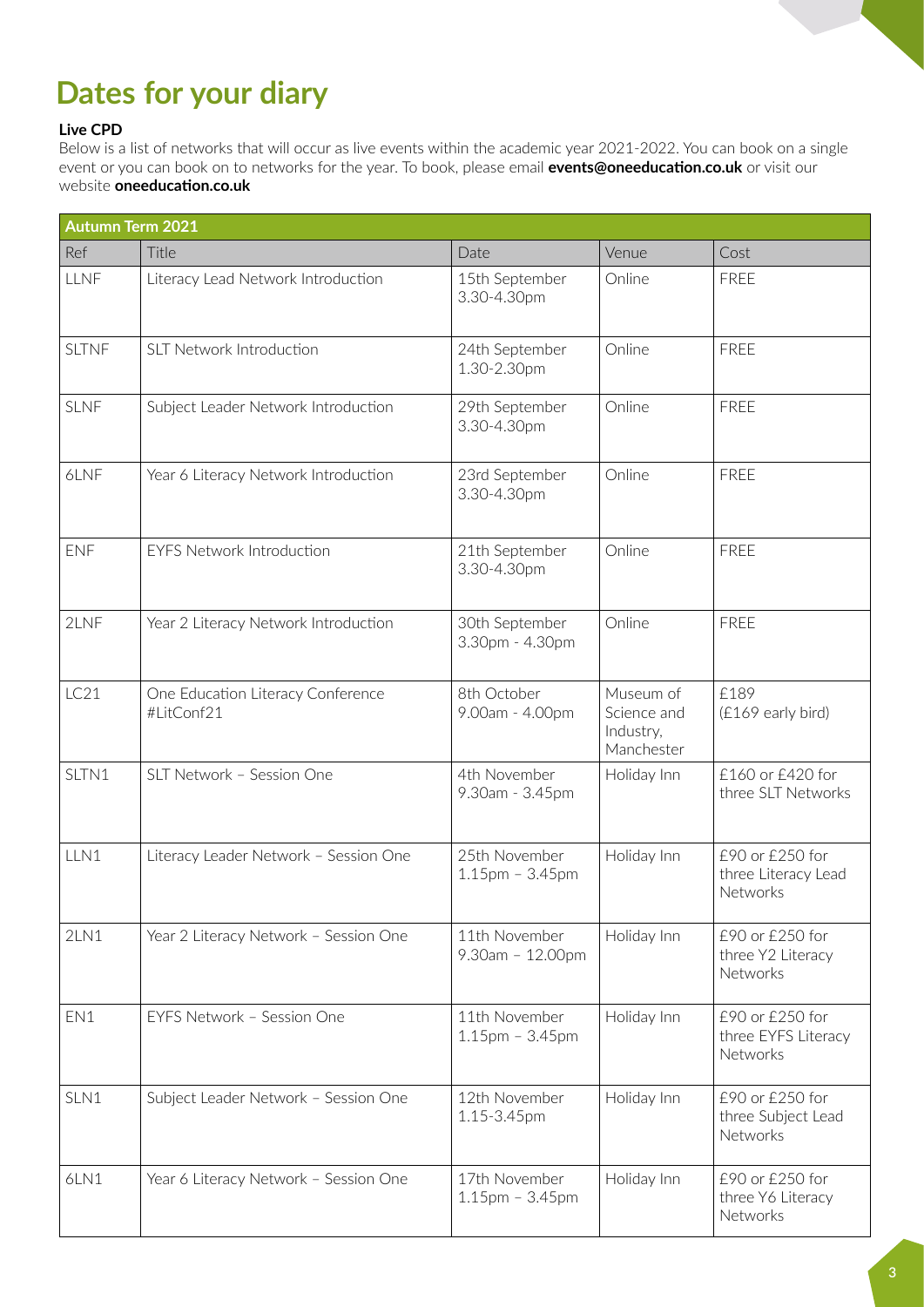## **Dates for your diary**

#### **Live CPD**

Below is a list of networks that will occur as live events within the academic year 2021-2022. You can book on a single event or you can book on to networks for the year. To book, please email **events@oneeducation.co.uk** or visit our website **oneeducation.co.uk**

| <b>Autumn Term 2021</b> |                                                 |                                     |                                                     |                                                          |
|-------------------------|-------------------------------------------------|-------------------------------------|-----------------------------------------------------|----------------------------------------------------------|
| Ref                     | Title                                           | Date                                | Venue                                               | Cost                                                     |
| <b>LLNF</b>             | Literacy Lead Network Introduction              | 15th September<br>3.30-4.30pm       | Online                                              | <b>FREE</b>                                              |
| <b>SLTNF</b>            | <b>SLT Network Introduction</b>                 | 24th September<br>1.30-2.30pm       | Online                                              | <b>FREE</b>                                              |
| <b>SLNF</b>             | Subject Leader Network Introduction             | 29th September<br>3.30-4.30pm       | Online                                              | <b>FREE</b>                                              |
| 6LNF                    | Year 6 Literacy Network Introduction            | 23rd September<br>3.30-4.30pm       | Online                                              | <b>FREE</b>                                              |
| <b>ENF</b>              | <b>EYFS Network Introduction</b>                | 21th September<br>3.30-4.30pm       | Online                                              | <b>FREE</b>                                              |
| 2LNF                    | Year 2 Literacy Network Introduction            | 30th September<br>3.30pm - 4.30pm   | Online                                              | <b>FREE</b>                                              |
| LC21                    | One Education Literacy Conference<br>#LitConf21 | 8th October<br>9.00am - 4.00pm      | Museum of<br>Science and<br>Industry,<br>Manchester | £189<br>(£169 early bird)                                |
| SLTN1                   | SLT Network - Session One                       | 4th November<br>9.30am - 3.45pm     | Holiday Inn                                         | £160 or £420 for<br>three SLT Networks                   |
| LLN1                    | Literacy Leader Network - Session One           | 25th November<br>$1.15$ pm - 3.45pm | Holiday Inn                                         | £90 or £250 for<br>three Literacy Lead<br>Networks       |
| 2LN1                    | Year 2 Literacy Network - Session One           | 11th November<br>9.30am - 12.00pm   | Holiday Inn                                         | £90 or £250 for<br>three Y2 Literacy<br>Networks         |
| EN1                     | EYFS Network - Session One                      | 11th November<br>$1.15$ pm - 3.45pm | Holiday Inn                                         | £90 or £250 for<br>three EYFS Literacy<br>Networks       |
| SLN1                    | Subject Leader Network - Session One            | 12th November<br>1.15-3.45pm        | Holiday Inn                                         | £90 or £250 for<br>three Subject Lead<br><b>Networks</b> |
| 6LN1                    | Year 6 Literacy Network - Session One           | 17th November<br>$1.15$ pm - 3.45pm | Holiday Inn                                         | £90 or £250 for<br>three Y6 Literacy<br>Networks         |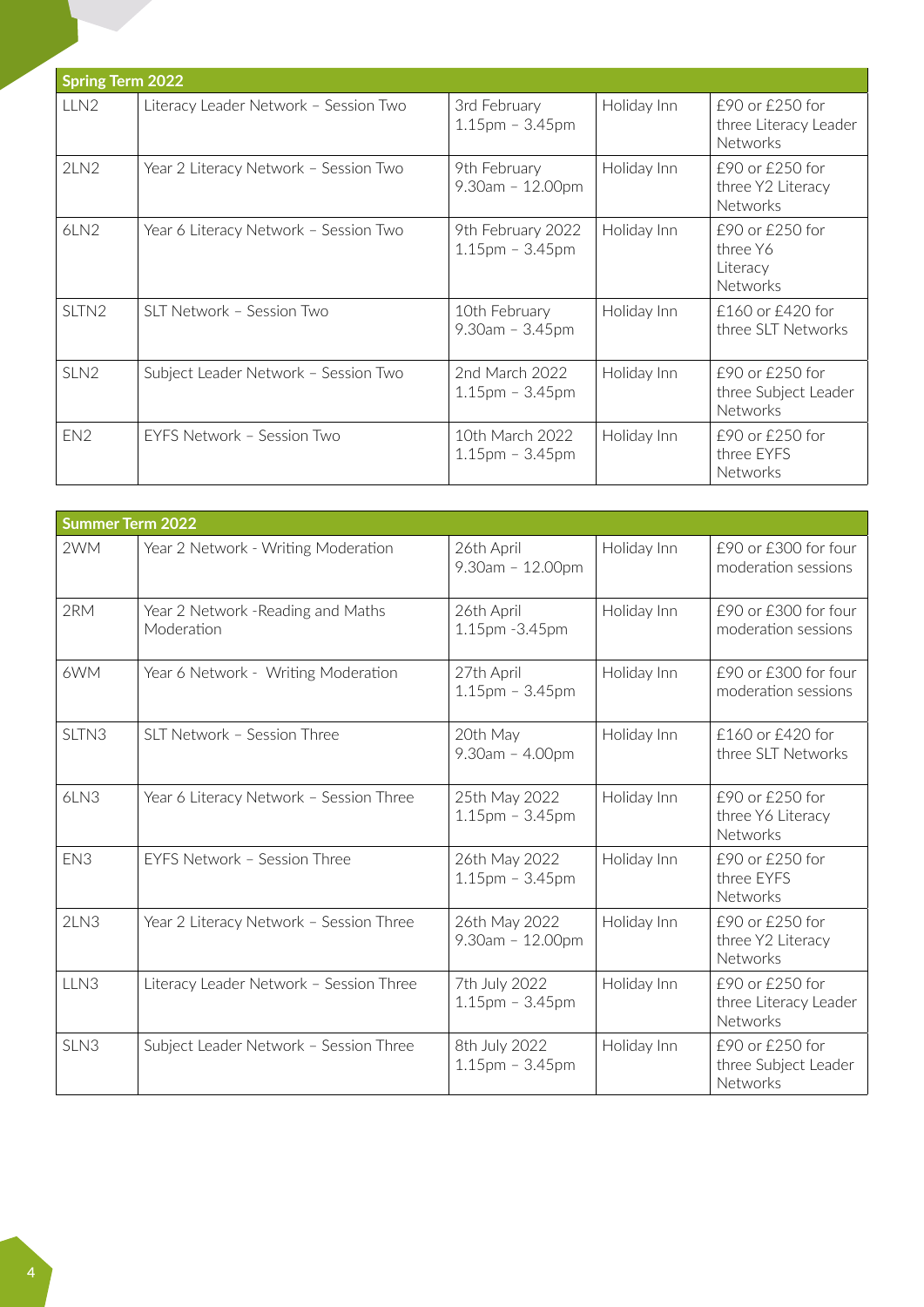| <b>Spring Term 2022</b> |                                       |                                         |             |                                                             |
|-------------------------|---------------------------------------|-----------------------------------------|-------------|-------------------------------------------------------------|
| LLN <sub>2</sub>        | Literacy Leader Network - Session Two | 3rd February<br>$1.15$ pm - 3.45pm      | Holiday Inn | £90 or £250 for<br>three Literacy Leader<br><b>Networks</b> |
| 2LN2                    | Year 2 Literacy Network - Session Two | 9th February<br>$9.30am - 12.00pm$      | Holiday Inn | £90 or £250 for<br>three Y2 Literacy<br><b>Networks</b>     |
| 6LN2                    | Year 6 Literacy Network - Session Two | 9th February 2022<br>$1.15$ pm - 3.45pm | Holiday Inn | £90 or £250 for<br>three Y6<br>Literacy<br>Networks         |
| SLTN <sub>2</sub>       | SLT Network - Session Two             | 10th February<br>$9.30am - 3.45pm$      | Holiday Inn | £160 or £420 for<br>three SLT Networks                      |
| SLN <sub>2</sub>        | Subject Leader Network - Session Two  | 2nd March 2022<br>$1.15$ pm - 3.45pm    | Holiday Inn | £90 or £250 for<br>three Subject Leader<br>Networks         |
| EN <sub>2</sub>         | FYFS Network - Session Two            | 10th March 2022<br>$1.15$ pm – 3.45pm   | Holiday Inn | £90 or £250 for<br>three EYFS<br><b>Networks</b>            |

| <b>Summer Term 2022</b> |                                                  |                                     |             |                                                      |
|-------------------------|--------------------------------------------------|-------------------------------------|-------------|------------------------------------------------------|
| 2WM                     | Year 2 Network - Writing Moderation              | 26th April<br>$9.30am - 12.00pm$    | Holiday Inn | £90 or £300 for four<br>moderation sessions          |
| 2RM                     | Year 2 Network - Reading and Maths<br>Moderation | 26th April<br>1.15pm -3.45pm        | Holiday Inn | £90 or £300 for four<br>moderation sessions          |
| 6WM                     | Year 6 Network - Writing Moderation              | 27th April<br>$1.15$ pm - 3.45pm    | Holiday Inn | £90 or £300 for four<br>moderation sessions          |
| SLTN <sub>3</sub>       | SLT Network - Session Three                      | 20th May<br>$9.30am - 4.00pm$       | Holiday Inn | £160 or £420 for<br>three SLT Networks               |
| 6LN3                    | Year 6 Literacy Network - Session Three          | 25th May 2022<br>$1.15$ pm - 3.45pm | Holiday Inn | £90 or £250 for<br>three Y6 Literacy<br>Networks     |
| EN <sub>3</sub>         | EYFS Network - Session Three                     | 26th May 2022<br>$1.15$ pm - 3.45pm | Holiday Inn | £90 or £250 for<br>three EYFS<br><b>Networks</b>     |
| 2LN3                    | Year 2 Literacy Network - Session Three          | 26th May 2022<br>$9.30am - 12.00pm$ | Holiday Inn | £90 or £250 for<br>three Y2 Literacy<br>Networks     |
| LLN <sub>3</sub>        | Literacy Leader Network - Session Three          | 7th July 2022<br>$1.15$ pm - 3.45pm | Holiday Inn | £90 or £250 for<br>three Literacy Leader<br>Networks |
| SLN3                    | Subject Leader Network - Session Three           | 8th July 2022<br>$1.15$ pm - 3.45pm | Holiday Inn | £90 or £250 for<br>three Subject Leader<br>Networks  |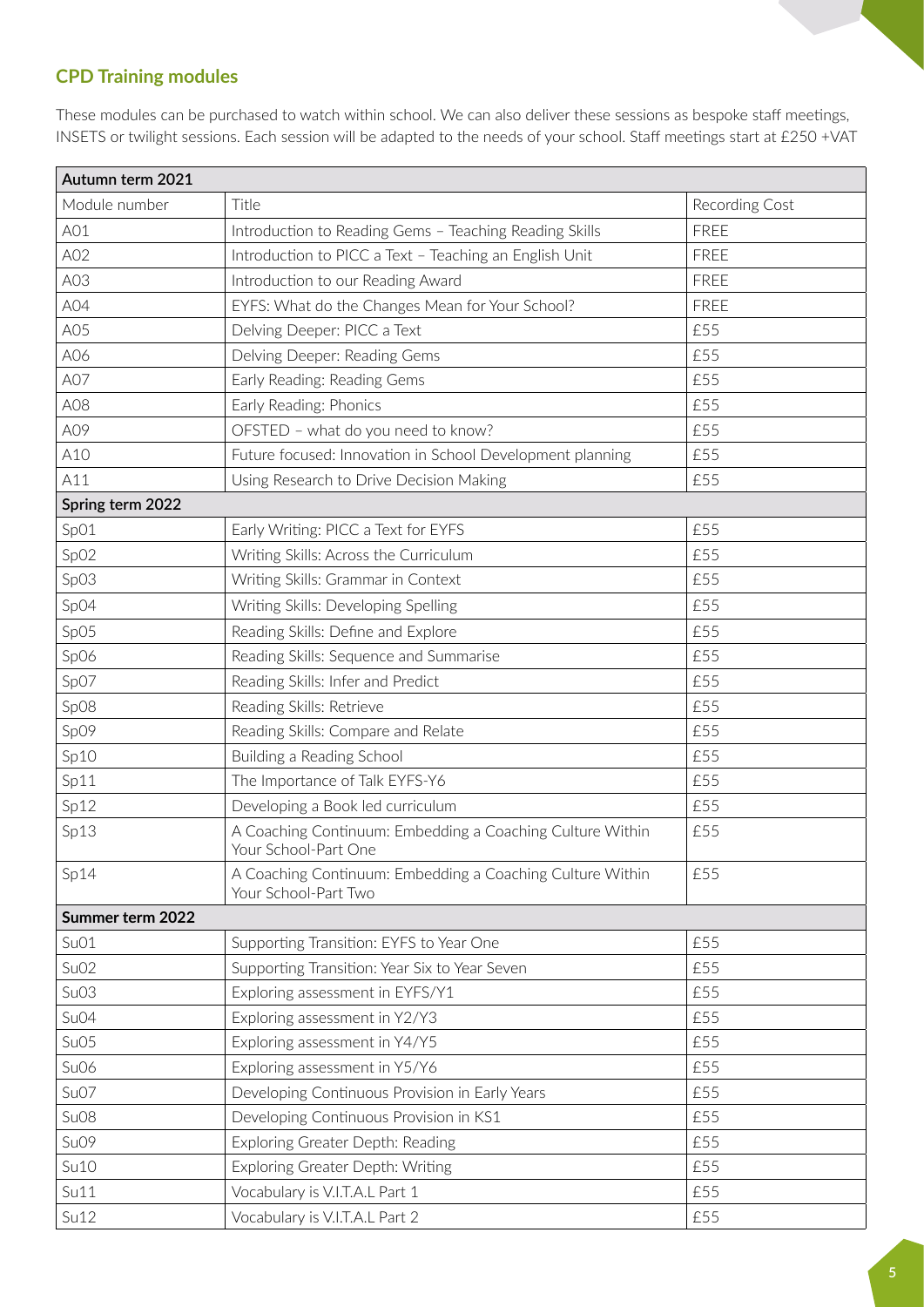## **CPD Training modules**

These modules can be purchased to watch within school. We can also deliver these sessions as bespoke staff meetings, INSETS or twilight sessions. Each session will be adapted to the needs of your school. Staff meetings start at £250 +VAT

| Autumn term 2021 |                                                                                   |                |
|------------------|-----------------------------------------------------------------------------------|----------------|
| Module number    | Title                                                                             | Recording Cost |
| A01              | Introduction to Reading Gems - Teaching Reading Skills                            | <b>FREE</b>    |
| A02              | Introduction to PICC a Text - Teaching an English Unit                            | <b>FREE</b>    |
| A03              | Introduction to our Reading Award                                                 | <b>FREE</b>    |
| A04              | EYFS: What do the Changes Mean for Your School?                                   | FREE           |
| A05              | Delving Deeper: PICC a Text                                                       | £55            |
| A06              | Delving Deeper: Reading Gems                                                      | £55            |
| A07              | Early Reading: Reading Gems                                                       | £55            |
| A08              | Early Reading: Phonics                                                            | £55            |
| A09              | OFSTED - what do you need to know?                                                | £55            |
| A10              | Future focused: Innovation in School Development planning                         | £55            |
| A11              | Using Research to Drive Decision Making                                           | £55            |
| Spring term 2022 |                                                                                   |                |
| SpO1             | Early Writing: PICC a Text for EYFS                                               | £55            |
| SpO2             | Writing Skills: Across the Curriculum                                             | £55            |
| SpO3             | Writing Skills: Grammar in Context                                                | £55            |
| SpO4             | Writing Skills: Developing Spelling                                               | £55            |
| SpO5             | Reading Skills: Define and Explore                                                | £55            |
| SpO6             | Reading Skills: Sequence and Summarise                                            | £55            |
| Sp07             | Reading Skills: Infer and Predict                                                 | £55            |
| SpO8             | Reading Skills: Retrieve                                                          | £55            |
| SpO9             | Reading Skills: Compare and Relate                                                | £55            |
| Sp10             | Building a Reading School                                                         | £55            |
| Sp11             | The Importance of Talk EYFS-Y6                                                    | £55            |
| Sp12             | Developing a Book led curriculum                                                  | £55            |
| Sp13             | A Coaching Continuum: Embedding a Coaching Culture Within<br>Your School-Part One | £55            |
| Sp14             | A Coaching Continuum: Embedding a Coaching Culture Within<br>Your School-Part Two | £55            |
| Summer term 2022 |                                                                                   |                |
| SuO1             | Supporting Transition: EYFS to Year One                                           | £55            |
| SuO2             | Supporting Transition: Year Six to Year Seven                                     | £55            |
| SuO3             | Exploring assessment in EYFS/Y1                                                   | £55            |
| Su04             | Exploring assessment in Y2/Y3                                                     | £55            |
| SuO <sub>5</sub> | Exploring assessment in Y4/Y5                                                     | £55            |
| Su06             | Exploring assessment in Y5/Y6                                                     | £55            |
| Su07             | Developing Continuous Provision in Early Years                                    | £55            |
| Su <sub>08</sub> | Developing Continuous Provision in KS1                                            | £55            |
| Su09             | Exploring Greater Depth: Reading                                                  | £55            |
| Su10             | Exploring Greater Depth: Writing                                                  | £55            |
| Su11             | Vocabulary is V.I.T.A.L Part 1                                                    | £55            |
| S <sub>u12</sub> | Vocabulary is V.I.T.A.L Part 2                                                    | £55            |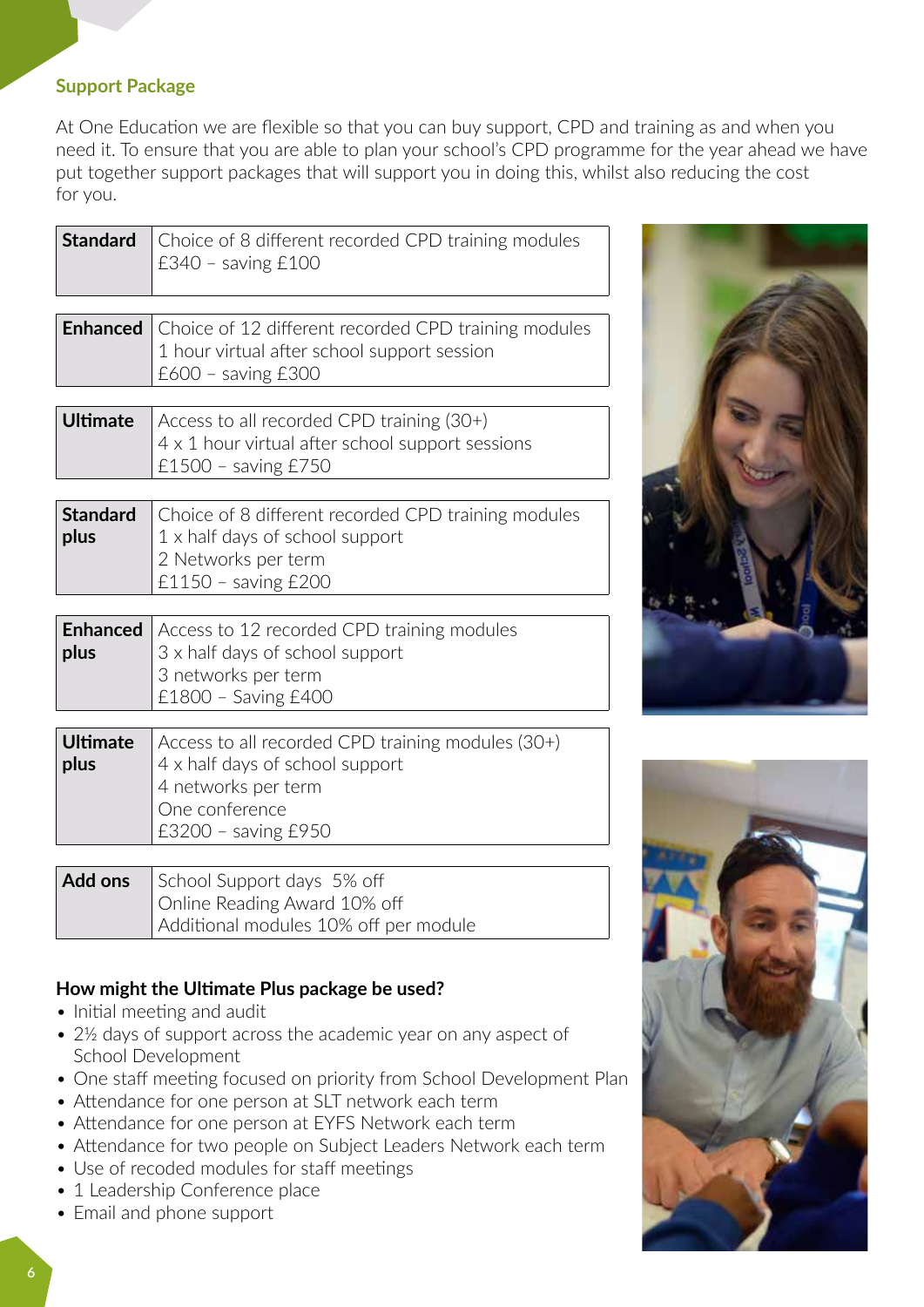## **Support Package**

At One Education we are flexible so that you can buy support, CPD and training as and when you need it. To ensure that you are able to plan your school's CPD programme for the year ahead we have put together support packages that will support you in doing this, whilst also reducing the cost for you.

| <b>Standard</b>         | Choice of 8 different recorded CPD training modules<br>$£340 -$ saving $£100$                                                                        |
|-------------------------|------------------------------------------------------------------------------------------------------------------------------------------------------|
| <b>Enhanced</b>         | Choice of 12 different recorded CPD training modules<br>1 hour virtual after school support session<br>$£600 -$ saving $£300$                        |
| <b>Ultimate</b>         | Access to all recorded CPD training (30+)<br>4 x 1 hour virtual after school support sessions<br>£1500 - saving £750                                 |
| <b>Standard</b><br>plus | Choice of 8 different recorded CPD training modules<br>1 x half days of school support<br>2 Networks per term<br>£1150 - saving £200                 |
| <b>Enhanced</b><br>plus | Access to 12 recorded CPD training modules<br>3 x half days of school support<br>3 networks per term<br>£1800 - Saving £400                          |
| <b>Ultimate</b><br>plus | Access to all recorded CPD training modules (30+)<br>4 x half days of school support<br>4 networks per term<br>One conference<br>£3200 - saving £950 |
| Add ons                 | School Support days 5% off<br>Online Reading Award 10% off<br>Additional modules 10% off per module                                                  |

## **How might the Ultimate Plus package be used?**

- Initial meeting and audit
- 2<sup>1/2</sup> days of support across the academic year on any aspect of School Development
- One staff meeting focused on priority from School Development Plan
- Attendance for one person at SLT network each term
- Attendance for one person at EYFS Network each term
- Attendance for two people on Subject Leaders Network each term
- Use of recoded modules for staff meetings
- 1 Leadership Conference place
- Email and phone support



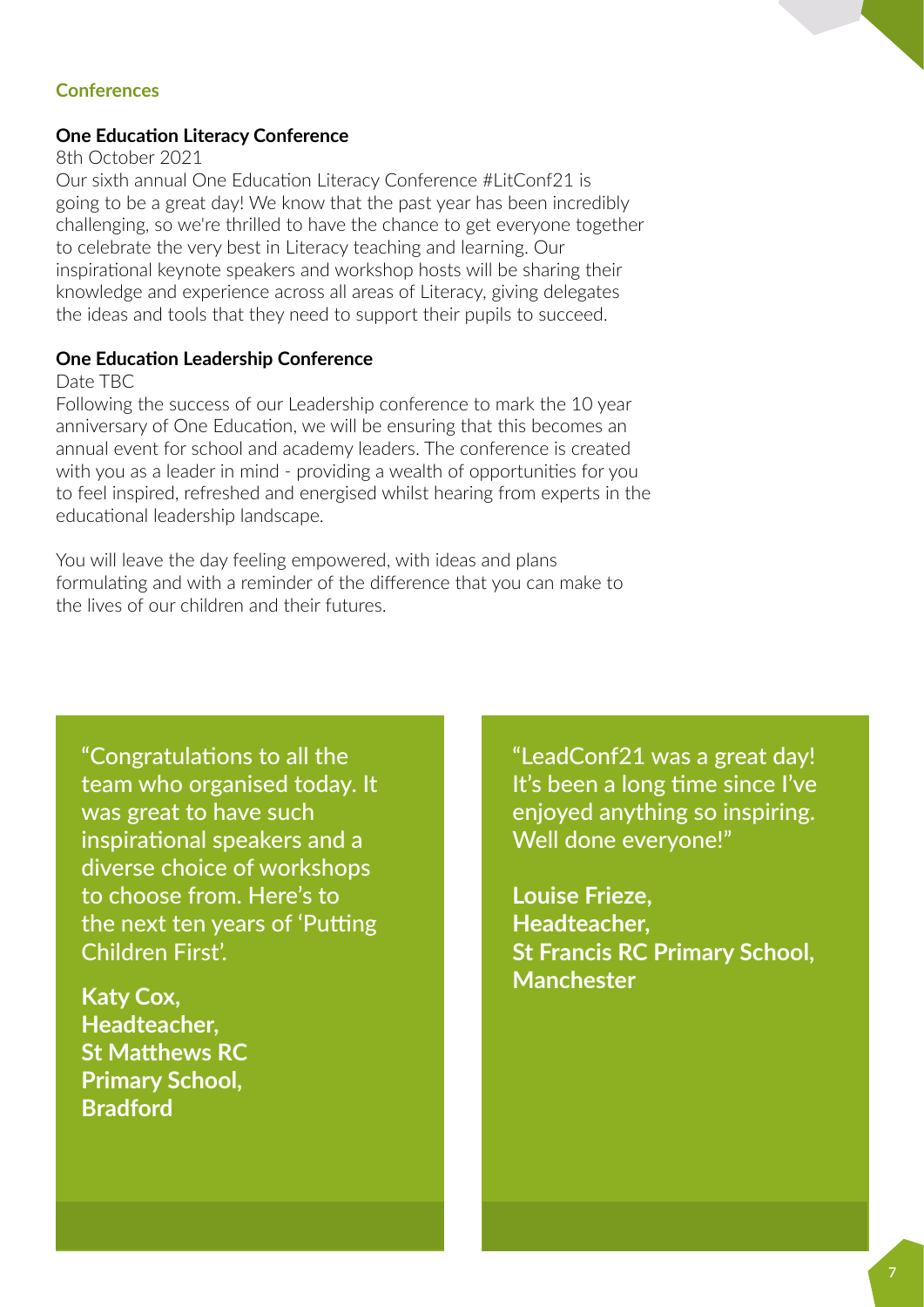## **Conferences**

#### **One Education Literacy Conference**

#### 8th October 2021

Our sixth annual One Education Literacy Conference #LitConf21 is going to be a great day! We know that the past year has been incredibly challenging, so we're thrilled to have the chance to get everyone together to celebrate the very best in Literacy teaching and learning. Our inspirational keynote speakers and workshop hosts will be sharing their knowledge and experience across all areas of Literacy, giving delegates the ideas and tools that they need to support their pupils to succeed.

#### **One Education Leadership Conference**

#### Date TBC

Following the success of our Leadership conference to mark the 10 year anniversary of One Education, we will be ensuring that this becomes an annual event for school and academy leaders. The conference is created with you as a leader in mind - providing a wealth of opportunities for you to feel inspired, refreshed and energised whilst hearing from experts in the educational leadership landscape.

You will leave the day feeling empowered, with ideas and plans formulating and with a reminder of the difference that you can make to the lives of our children and their futures.

"Congratulations to all the team who organised today. It was great to have such inspirational speakers and a diverse choice of workshops to choose from. Here's to the next ten years of 'Putting Children First'.

**Katy Cox, Headteacher, St Matthews RC Primary School, Bradford**

"LeadConf21 was a great day! It's been a long time since I've enjoyed anything so inspiring. Well done everyone!"

**Louise Frieze, Headteacher, St Francis RC Primary School, Manchester**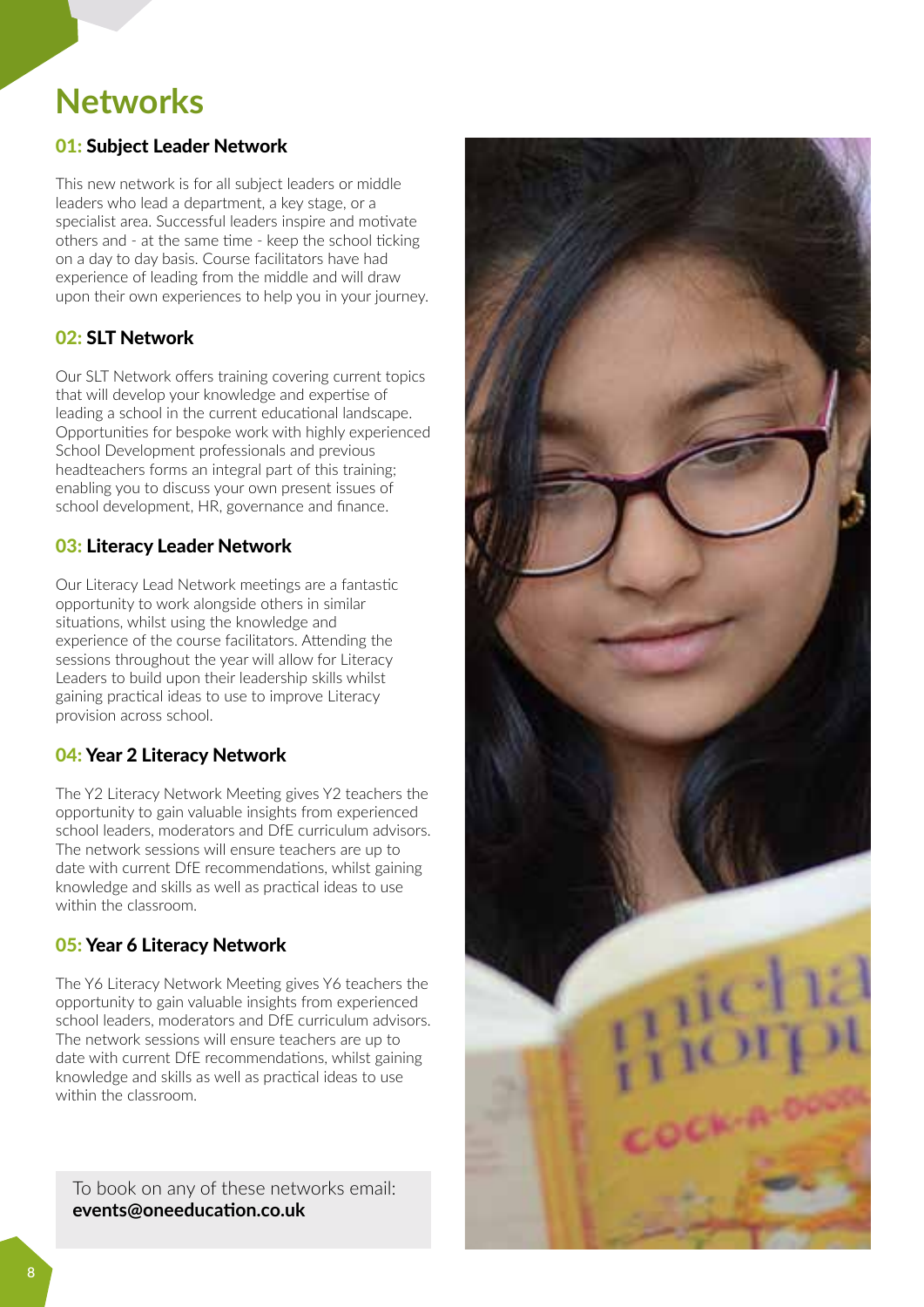## **Networks**

## **01: Subject Leader Network**

This new network is for all subject leaders or middle leaders who lead a department, a key stage, or a specialist area. Successful leaders inspire and motivate others and - at the same time - keep the school ticking on a day to day basis. Course facilitators have had experience of leading from the middle and will draw upon their own experiences to help you in your journey.

## 02: SLT Network

Our SLT Network offers training covering current topics that will develop your knowledge and expertise of leading a school in the current educational landscape. Opportunities for bespoke work with highly experienced School Development professionals and previous headteachers forms an integral part of this training; enabling you to discuss your own present issues of school development, HR, governance and finance.

## 03: Literacy Leader Network

Our Literacy Lead Network meetings are a fantastic opportunity to work alongside others in similar situations, whilst using the knowledge and experience of the course facilitators. Attending the sessions throughout the year will allow for Literacy Leaders to build upon their leadership skills whilst gaining practical ideas to use to improve Literacy provision across school.

## 04: Year 2 Literacy Network

The Y2 Literacy Network Meeting gives Y2 teachers the opportunity to gain valuable insights from experienced school leaders, moderators and DfE curriculum advisors. The network sessions will ensure teachers are up to date with current DfE recommendations, whilst gaining knowledge and skills as well as practical ideas to use within the classroom.

## 05: Year 6 Literacy Network

The Y6 Literacy Network Meeting gives Y6 teachers the opportunity to gain valuable insights from experienced school leaders, moderators and DfE curriculum advisors. The network sessions will ensure teachers are up to date with current DfE recommendations, whilst gaining knowledge and skills as well as practical ideas to use within the classroom.

To book on any of these networks email: **events@oneeducation.co.uk**

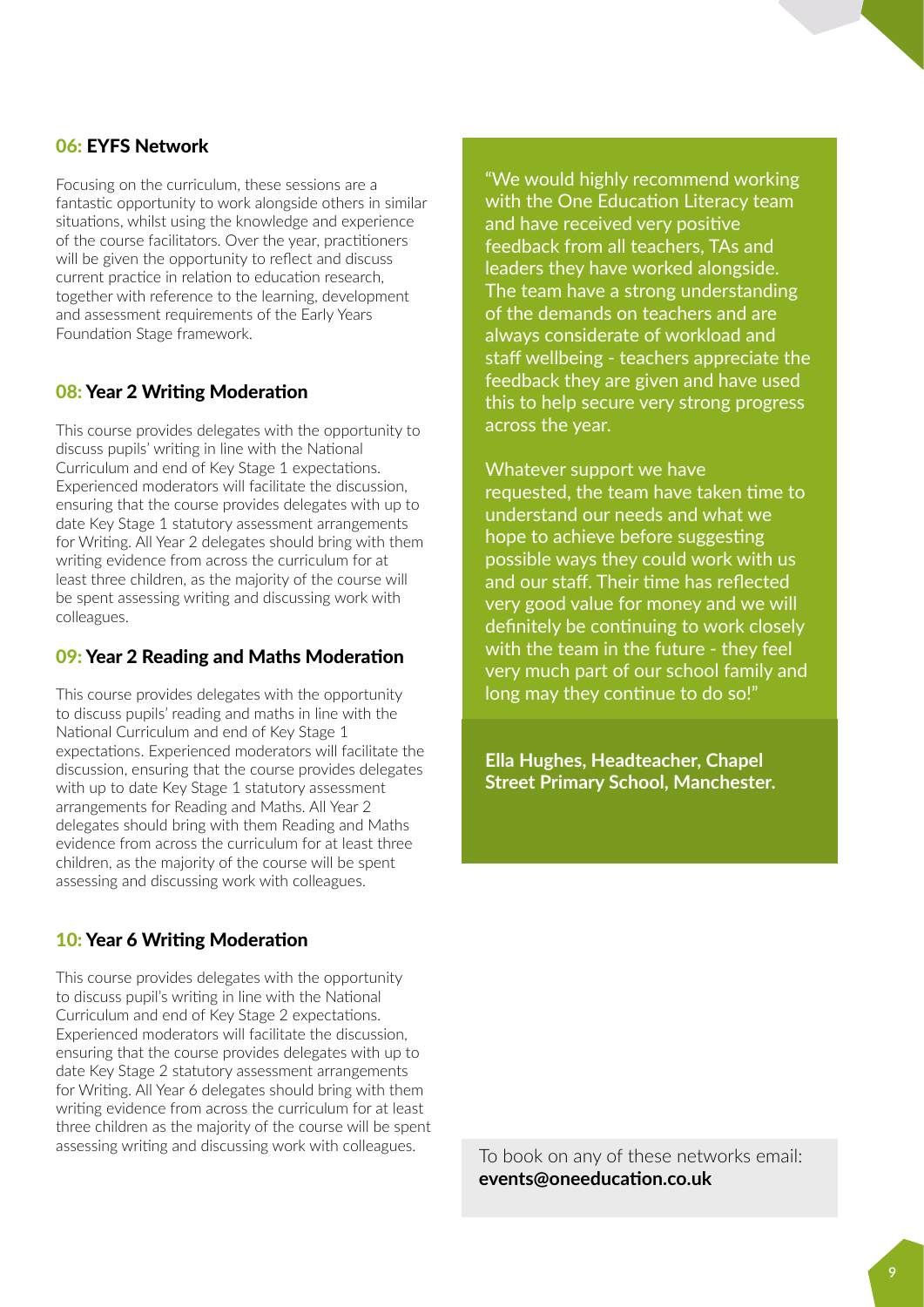### 06: EYFS Network

Focusing on the curriculum, these sessions are a fantastic opportunity to work alongside others in similar situations, whilst using the knowledge and experience of the course facilitators. Over the year, practitioners will be given the opportunity to reflect and discuss current practice in relation to education research, together with reference to the learning, development and assessment requirements of the Early Years Foundation Stage framework.

#### 08: Year 2 Writing Moderation

This course provides delegates with the opportunity to discuss pupils' writing in line with the National Curriculum and end of Key Stage 1 expectations. Experienced moderators will facilitate the discussion, ensuring that the course provides delegates with up to date Key Stage 1 statutory assessment arrangements for Writing. All Year 2 delegates should bring with them writing evidence from across the curriculum for at least three children, as the majority of the course will be spent assessing writing and discussing work with colleagues.

#### 09: Year 2 Reading and Maths Moderation

This course provides delegates with the opportunity to discuss pupils' reading and maths in line with the National Curriculum and end of Key Stage 1 expectations. Experienced moderators will facilitate the discussion, ensuring that the course provides delegates with up to date Key Stage 1 statutory assessment arrangements for Reading and Maths. All Year 2 delegates should bring with them Reading and Maths evidence from across the curriculum for at least three children, as the majority of the course will be spent assessing and discussing work with colleagues.

#### 10: Year 6 Writing Moderation

This course provides delegates with the opportunity to discuss pupil's writing in line with the National Curriculum and end of Key Stage 2 expectations. Experienced moderators will facilitate the discussion, ensuring that the course provides delegates with up to date Key Stage 2 statutory assessment arrangements for Writing. All Year 6 delegates should bring with them writing evidence from across the curriculum for at least three children as the majority of the course will be spent assessing writing and discussing work with colleagues. To book on any of these networks email:

"We would highly recommend working with the One Education Literacy team and have received very positive feedback from all teachers, TAs and leaders they have worked alongside. The team have a strong understanding of the demands on teachers and are always considerate of workload and staff wellbeing - teachers appreciate the feedback they are given and have used this to help secure very strong progress across the year.

Whatever support we have requested, the team have taken time to understand our needs and what we hope to achieve before suggesting possible ways they could work with us and our staff. Their time has reflected very good value for money and we will definitely be continuing to work closely with the team in the future - they feel very much part of our school family and long may they continue to do so!"

**Ella Hughes, Headteacher, Chapel Street Primary School, Manchester.**

**events@oneeducation.co.uk**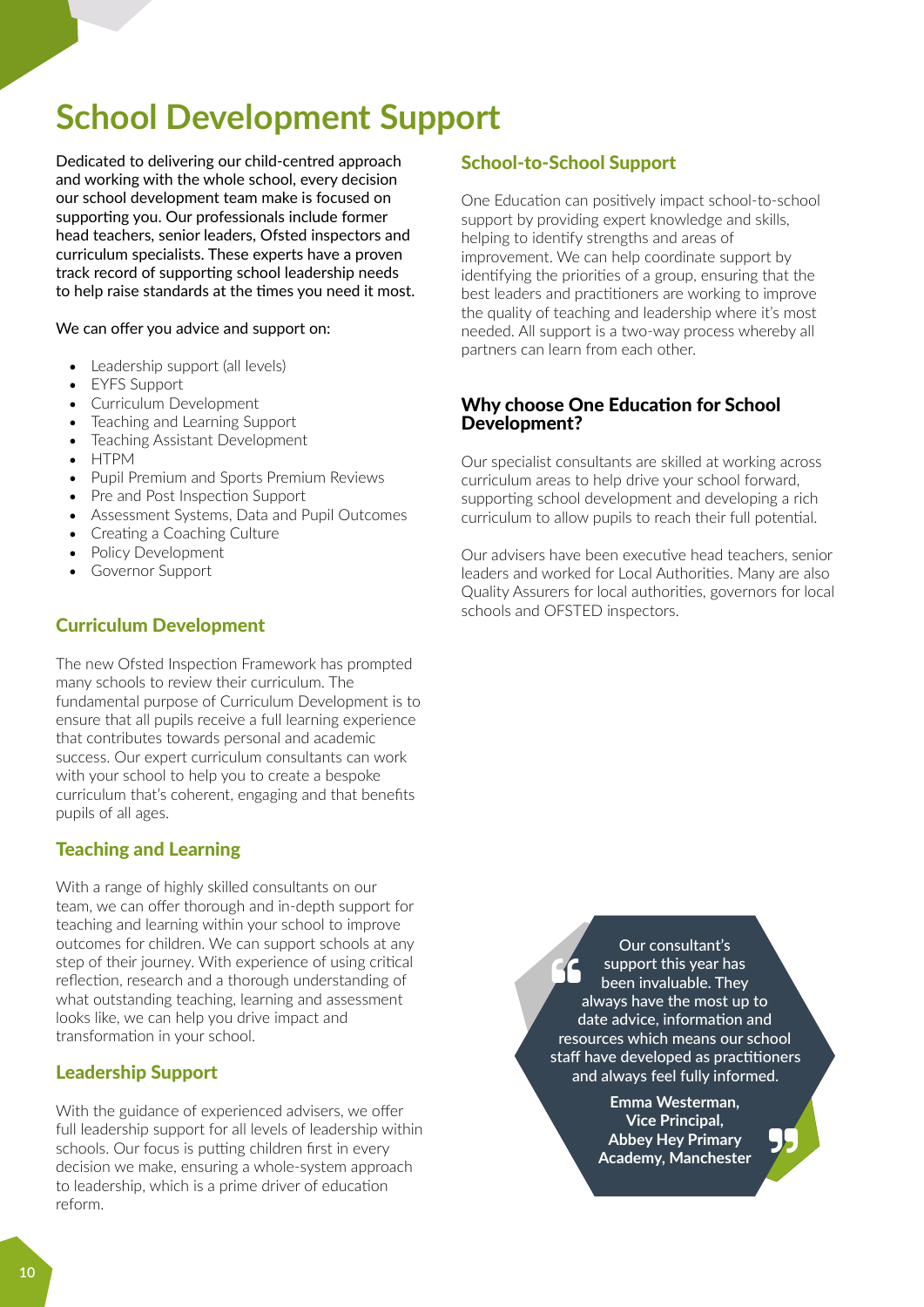# **School Development Support**

Dedicated to delivering our child-centred approach and working with the whole school, every decision our school development team make is focused on supporting you. Our professionals include former head teachers, senior leaders, Ofsted inspectors and curriculum specialists. These experts have a proven track record of supporting school leadership needs to help raise standards at the times you need it most.

#### We can offer you advice and support on:

- Leadership support (all levels)
- EYFS Support
- Curriculum Development
- Teaching and Learning Support
- Teaching Assistant Development
- HTPM<br>• Punil P
- Pupil Premium and Sports Premium Reviews
- Pre and Post Inspection Support
- Assessment Systems, Data and Pupil Outcomes
- Creating a Coaching Culture
- Policy Development
- Governor Support

### Curriculum Development

The new Ofsted Inspection Framework has prompted many schools to review their curriculum. The fundamental purpose of Curriculum Development is to ensure that all pupils receive a full learning experience that contributes towards personal and academic success. Our expert curriculum consultants can work with your school to help you to create a bespoke curriculum that's coherent, engaging and that benefits pupils of all ages.

## Teaching and Learning

With a range of highly skilled consultants on our team, we can offer thorough and in-depth support for teaching and learning within your school to improve outcomes for children. We can support schools at any step of their journey. With experience of using critical reflection, research and a thorough understanding of what outstanding teaching, learning and assessment looks like, we can help you drive impact and transformation in your school.

#### Leadership Support

With the guidance of experienced advisers, we offer full leadership support for all levels of leadership within schools. Our focus is putting children first in every decision we make, ensuring a whole-system approach to leadership, which is a prime driver of education reform.

#### School-to-School Support

One Education can positively impact school-to-school support by providing expert knowledge and skills, helping to identify strengths and areas of improvement. We can help coordinate support by identifying the priorities of a group, ensuring that the best leaders and practitioners are working to improve the quality of teaching and leadership where it's most needed. All support is a two-way process whereby all partners can learn from each other.

#### Why choose One Education for School Development?

Our specialist consultants are skilled at working across curriculum areas to help drive your school forward, supporting school development and developing a rich curriculum to allow pupils to reach their full potential.

Our advisers have been executive head teachers, senior leaders and worked for Local Authorities. Many are also Quality Assurers for local authorities, governors for local schools and OFSTED inspectors.

> 66 Our consultant's support this year has been invaluable. They always have the most up to date advice, information and resources which means our school staff have developed as practitioners and always feel fully informed.

> > **Emma Westerman, Vice Principal, Abbey Hey Primary Academy, Manchester**

95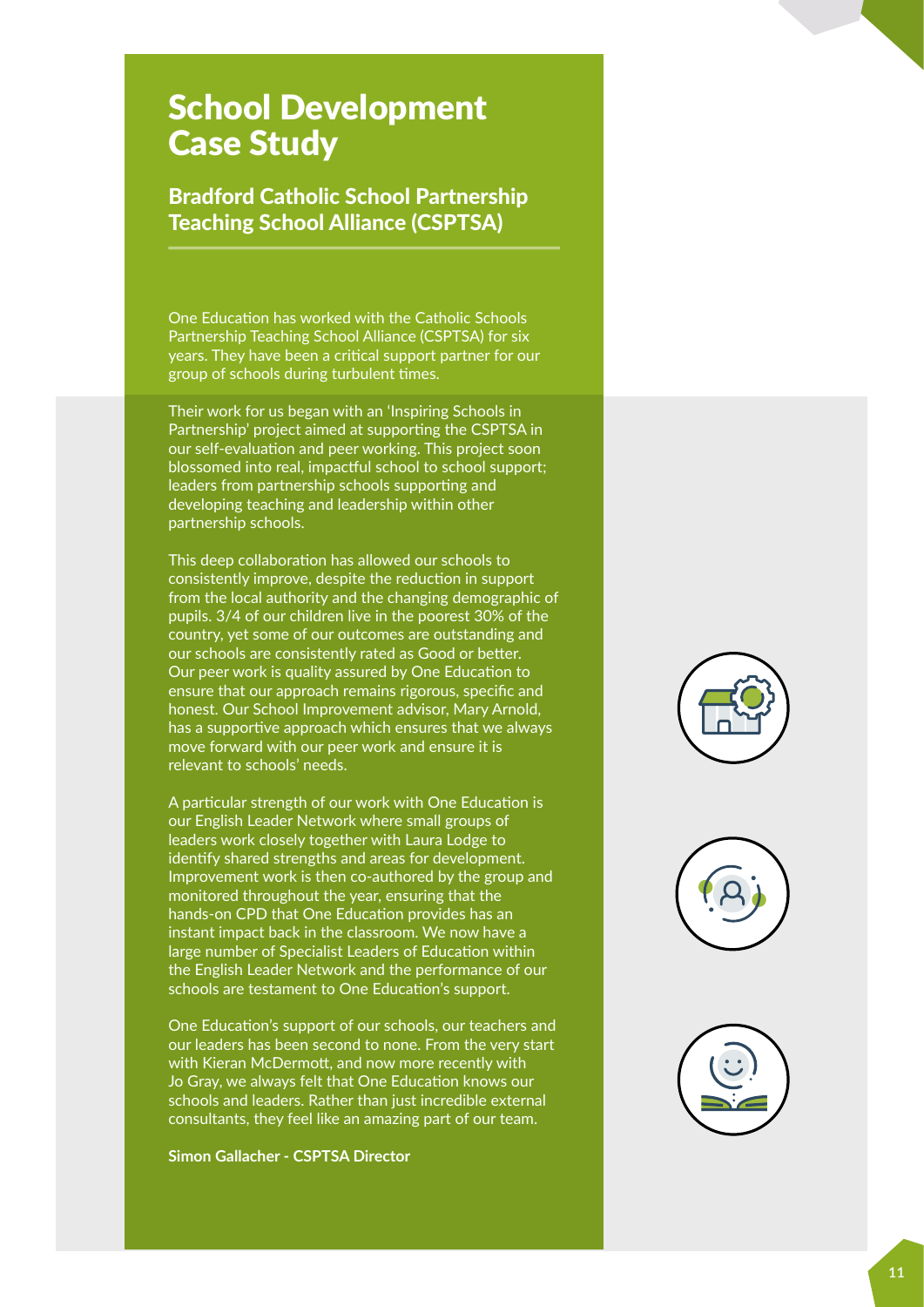## **School Development** Case Study

## Bradford Catholic School Partnership Teaching School Alliance (CSPTSA)

One Education has worked with the Catholic Schools Partnership Teaching School Alliance (CSPTSA) for six years. They have been a critical support partner for our group of schools during turbulent times.

Their work for us began with an 'Inspiring Schools in Partnership' project aimed at supporting the CSPTSA in our self-evaluation and peer working. This project soon **Professional / highly qualied** blossomed into real, impactful school to school support; leaders from partnership schools supporting and developing teaching and leadership within other partnership schools.

This deep collaboration has allowed our schools to consistently improve, despite the reduction in support **Education Specialists** from the local authority and the changing demographic of pupils. 3/4 of our children live in the poorest 30% of the **Professional Community of the profession of the country, yet some of our outcomes are outstanding and** our schools are consistently rated as Good or better. Our peer work is quality assured by One Education to ensure that our approach remains rigorous, specific and honest. Our School Improvement advisor, Mary Arnold, has a supportive approach which ensures that we always move forward with our peer work and ensure it is<br>——————————————————— relevant to schools' needs.

A particular strength of our work with One Education is our English Leader Network where small groups of leaders work closely together with Laura Lodge to identify shared strengths and areas for development. Improvement work is then co-authored by the group and monitored throughout the year, ensuring that the hands-on CPD that One Education provides has an **Education Hub** instant impact back in the classroom. We now have a large number of Specialist Leaders of Education within the English Leader Network and the performance of our **Experienced** schools are testament to One Education's support.

One Education's support of our schools, our teachers and our leaders has been second to none. From the very start with Kieran McDermott, and now more recently with **Advice** Jo Gray, we always felt that One Education knows our schools and leaders. Rather than just incredible external consultants, they feel like an amazing part of our team.

**Simon Gallacher - CSPTSA Director**



**Files / clerking Advice / Guidance Schools**

**Files / clerking Advice / Guidance Schools**

**Financially**

**10 years Manufacturer**

**Education Helpline**

**10**

**Maths Specialists**

**Decision Making**

> **Education Helpline**

**Financially Trained**

> **Decision Making**

**Maths Specialists**

**Musical Experiences**

**Musical Experiences**





**Results Inspectors**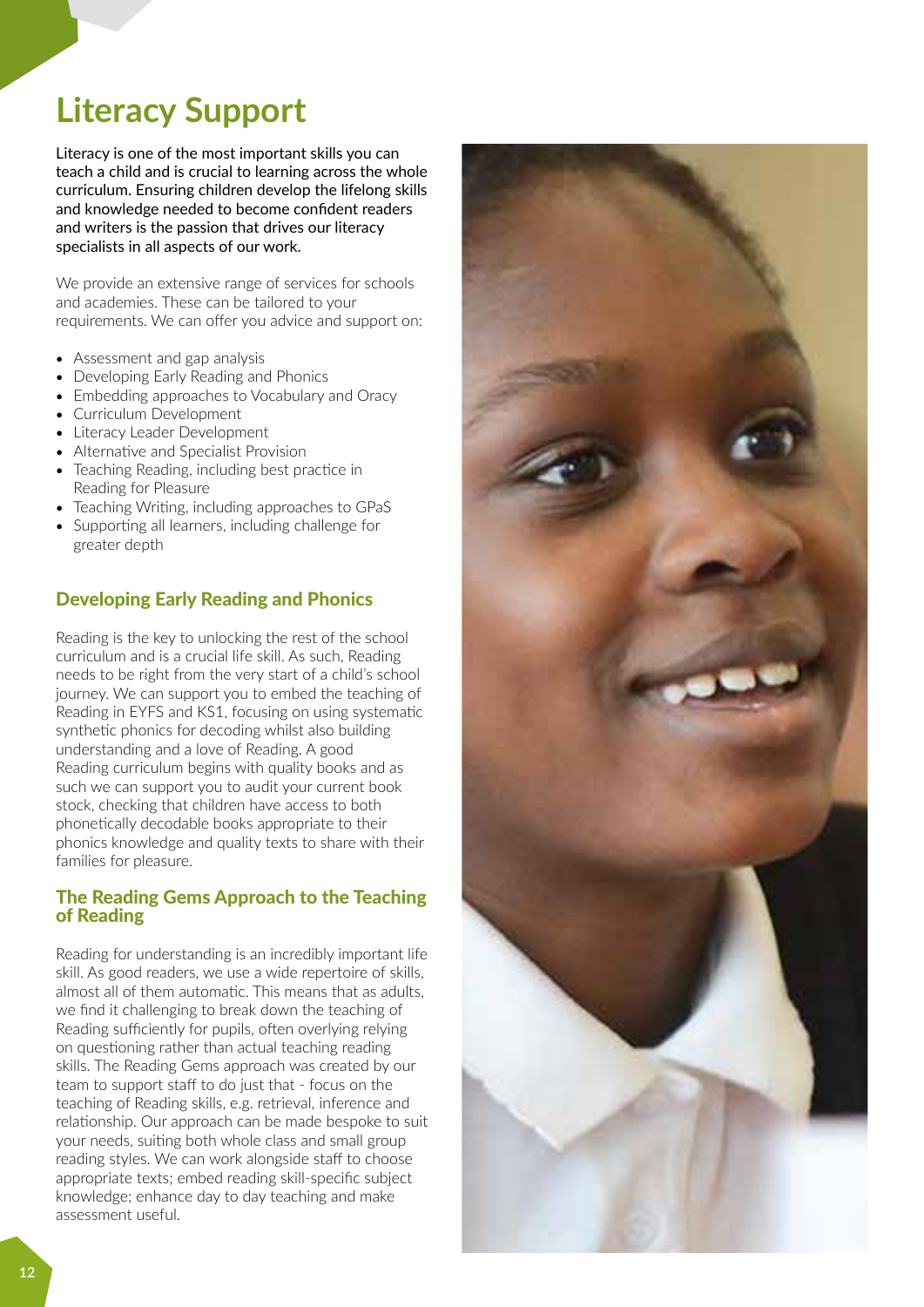# **Literacy Support**

Literacy is one of the most important skills you can teach a child and is crucial to learning across the whole curriculum. Ensuring children develop the lifelong skills and knowledge needed to become confident readers and writers is the passion that drives our literacy specialists in all aspects of our work.

We provide an extensive range of services for schools and academies. These can be tailored to your requirements. We can offer you advice and support on:

- Assessment and gap analysis
- Developing Early Reading and Phonics
- Embedding approaches to Vocabulary and Oracy
- Curriculum Development
- Literacy Leader Development
- Alternative and Specialist Provision
- Teaching Reading, including best practice in Reading for Pleasure
- Teaching Writing, including approaches to GPaS
- Supporting all learners, including challenge for greater depth

#### Developing Early Reading and Phonics

Reading is the key to unlocking the rest of the school curriculum and is a crucial life skill. As such, Reading needs to be right from the very start of a child's school journey. We can support you to embed the teaching of Reading in EYFS and KS1, focusing on using systematic synthetic phonics for decoding whilst also building understanding and a love of Reading. A good Reading curriculum begins with quality books and as such we can support you to audit your current book stock, checking that children have access to both phonetically decodable books appropriate to their phonics knowledge and quality texts to share with their families for pleasure.

#### The Reading Gems Approach to the Teaching of Reading

Reading for understanding is an incredibly important life skill. As good readers, we use a wide repertoire of skills, almost all of them automatic. This means that as adults, we find it challenging to break down the teaching of Reading sufficiently for pupils, often overlying relying on questioning rather than actual teaching reading skills. The Reading Gems approach was created by our team to support staff to do just that - focus on the teaching of Reading skills, e.g. retrieval, inference and relationship. Our approach can be made bespoke to suit your needs, suiting both whole class and small group reading styles. We can work alongside staff to choose appropriate texts; embed reading skill-specific subject knowledge; enhance day to day teaching and make assessment useful.

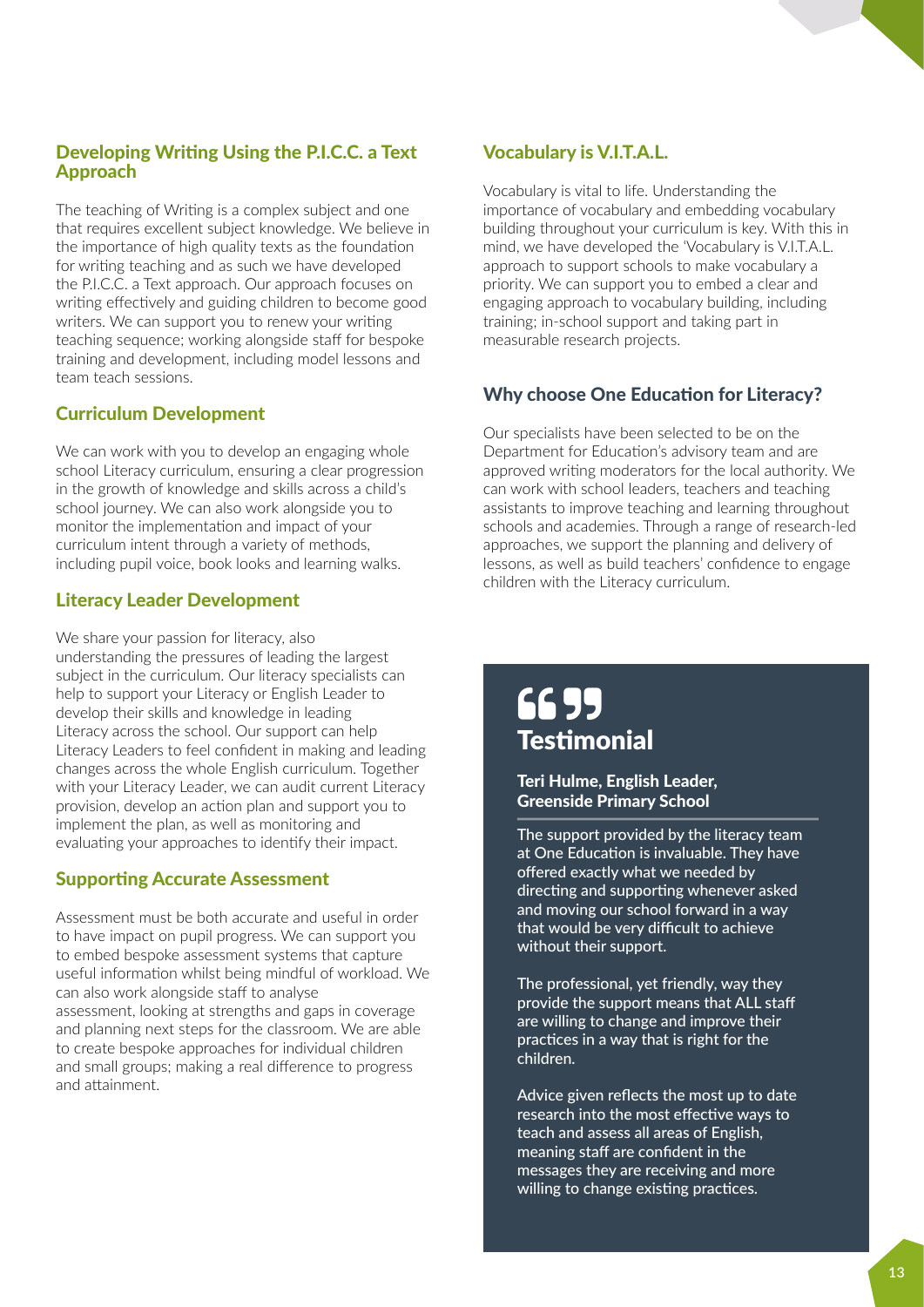#### Developing Writing Using the P.I.C.C. a Text Approach

The teaching of Writing is a complex subject and one that requires excellent subject knowledge. We believe in the importance of high quality texts as the foundation for writing teaching and as such we have developed the P.I.C.C. a Text approach. Our approach focuses on writing effectively and guiding children to become good writers. We can support you to renew your writing teaching sequence; working alongside staff for bespoke training and development, including model lessons and team teach sessions.

#### Curriculum Development

We can work with you to develop an engaging whole school Literacy curriculum, ensuring a clear progression in the growth of knowledge and skills across a child's school journey. We can also work alongside you to monitor the implementation and impact of your curriculum intent through a variety of methods, including pupil voice, book looks and learning walks.

#### Literacy Leader Development

We share your passion for literacy, also understanding the pressures of leading the largest subject in the curriculum. Our literacy specialists can help to support your Literacy or English Leader to develop their skills and knowledge in leading Literacy across the school. Our support can help Literacy Leaders to feel confident in making and leading changes across the whole English curriculum. Together with your Literacy Leader, we can audit current Literacy provision, develop an action plan and support you to implement the plan, as well as monitoring and evaluating your approaches to identify their impact.

#### Supporting Accurate Assessment

Assessment must be both accurate and useful in order to have impact on pupil progress. We can support you to embed bespoke assessment systems that capture useful information whilst being mindful of workload. We can also work alongside staff to analyse assessment, looking at strengths and gaps in coverage and planning next steps for the classroom. We are able to create bespoke approaches for individual children and small groups; making a real difference to progress and attainment.

## Vocabulary is V.I.T.A.L.

Vocabulary is vital to life. Understanding the importance of vocabulary and embedding vocabulary building throughout your curriculum is key. With this in mind, we have developed the 'Vocabulary is V.I.T.A.L. approach to support schools to make vocabulary a priority. We can support you to embed a clear and engaging approach to vocabulary building, including training; in-school support and taking part in measurable research projects.

## Why choose One Education for Literacy?

Our specialists have been selected to be on the Department for Education's advisory team and are approved writing moderators for the local authority. We can work with school leaders, teachers and teaching assistants to improve teaching and learning throughout schools and academies. Through a range of research-led approaches, we support the planning and delivery of lessons, as well as build teachers' confidence to engage children with the Literacy curriculum.

## **Testimonial** 66 95

#### Teri Hulme, English Leader, Greenside Primary School

The support provided by the literacy team at One Education is invaluable. They have offered exactly what we needed by directing and supporting whenever asked and moving our school forward in a way that would be very difficult to achieve without their support.

The professional, yet friendly, way they provide the support means that ALL staff are willing to change and improve their practices in a way that is right for the children.

Advice given reflects the most up to date research into the most effective ways to teach and assess all areas of English, meaning staff are confident in the messages they are receiving and more willing to change existing practices.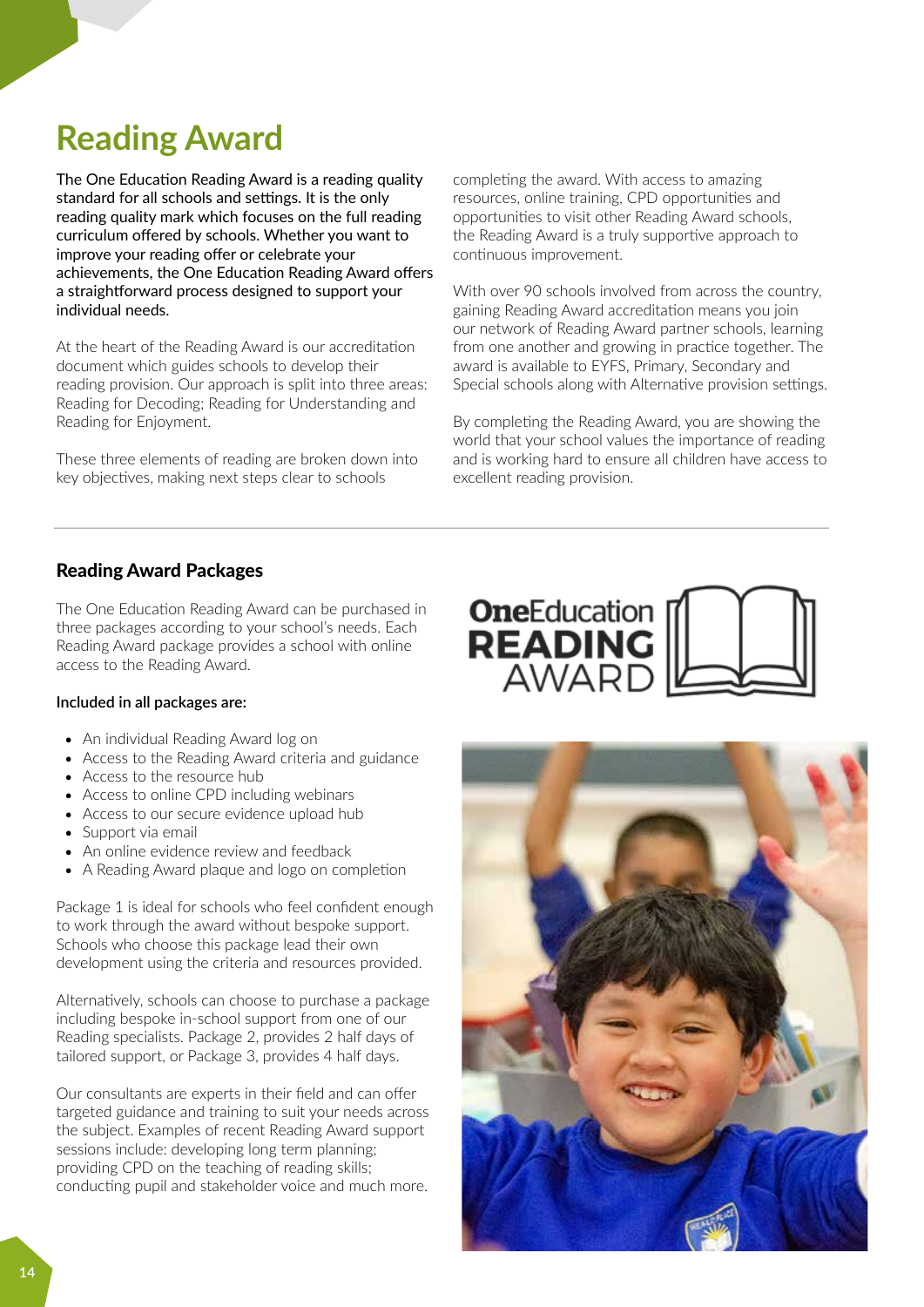# **Reading Award**

The One Education Reading Award is a reading quality standard for all schools and settings. It is the only reading quality mark which focuses on the full reading curriculum offered by schools. Whether you want to improve your reading offer or celebrate your achievements, the One Education Reading Award offers a straightforward process designed to support your individual needs.

At the heart of the Reading Award is our accreditation document which guides schools to develop their reading provision. Our approach is split into three areas: Reading for Decoding; Reading for Understanding and Reading for Enjoyment.

These three elements of reading are broken down into key objectives, making next steps clear to schools

completing the award. With access to amazing resources, online training, CPD opportunities and opportunities to visit other Reading Award schools, the Reading Award is a truly supportive approach to continuous improvement.

With over 90 schools involved from across the country, gaining Reading Award accreditation means you join our network of Reading Award partner schools, learning from one another and growing in practice together. The award is available to EYFS, Primary, Secondary and Special schools along with Alternative provision settings.

By completing the Reading Award, you are showing the world that your school values the importance of reading and is working hard to ensure all children have access to excellent reading provision.

## Reading Award Packages

The One Education Reading Award can be purchased in three packages according to your school's needs. Each Reading Award package provides a school with online access to the Reading Award.

#### **Included in all packages are:**

- An individual Reading Award log on
- Access to the Reading Award criteria and guidance
- Access to the resource hub
- Access to online CPD including webinars
- Access to our secure evidence upload hub
- Support via email
- An online evidence review and feedback
- A Reading Award plaque and logo on completion

Package 1 is ideal for schools who feel confident enough to work through the award without bespoke support. Schools who choose this package lead their own development using the criteria and resources provided.

Alternatively, schools can choose to purchase a package including bespoke in-school support from one of our Reading specialists. Package 2, provides 2 half days of tailored support, or Package 3, provides 4 half days.

Our consultants are experts in their field and can offer targeted guidance and training to suit your needs across the subject. Examples of recent Reading Award support sessions include: developing long term planning; providing CPD on the teaching of reading skills; conducting pupil and stakeholder voice and much more.



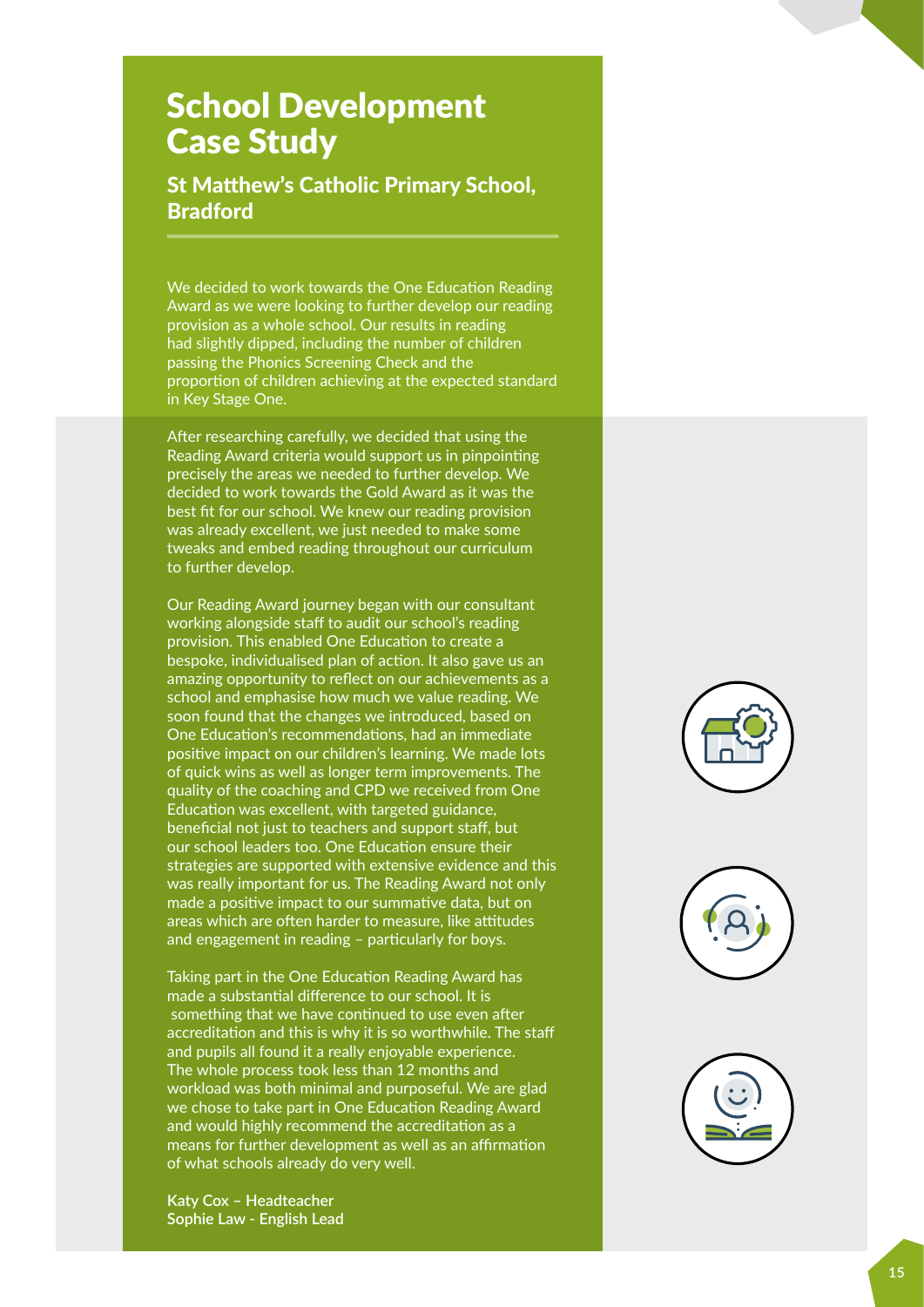## **School Development** Case Study

St Matthew's Catholic Primary School, Bradford

We decided to work towards the One Education Reading Award as we were looking to further develop our reading **Project Management** provision as a whole school. Our results in reading **Subject Support** had slightly dipped, including the number of children passing the Phonics Screening Check and the proportion of children achieving at the expected standard in Key Stage One.

After researching carefully, we decided that using the Reading Award criteria would support us in pinpointing precisely the areas we needed to further develop. We decided to work towards the Gold Award as it was the **Subject Support** best fit for our school. We knew our reading provision was already excellent, we just needed to make some tweaks and embed reading throughout our curriculum to further develop.

Our Reading Award journey began with our consultant **Education** working alongside staff to audit our school's reading **Specialists** provision. This enabled One Education to create a bespoke, individualised plan of action. It also gave us an **Professional / highly qualied** amazing opportunity to reflect on our achievements as a school and emphasise how much we value reading. We soon found that the changes we introduced, based on One Education's recommendations, had an immediate positive impact on our children's learning. We made lots of quick wins as well as longer term improvements. The quality of the coaching and CPD we received from One **Experienced Teachers / Sta** Education was excellent, with targeted guidance, **Education Specialists** beneficial not just to teachers and support staff, but our school leaders too. One Education ensure their strategies are supported with extensive evidence and this was really important for us. The Reading Award not only made a positive impact to our summative data, but on areas which are often harder to measure, like attitudes and engagement in reading – particularly for boys<mark>.</mark>

Taking part in the One Education Reading Award has made a substantial difference to our school. It is something that we have continued to use even after accreditation and this is why it is so worthwhile. The staff and pupils all found it a really enjoyable experience. The whole process took less than 12 months and workload was both minimal and purposeful. We are glad **Advice** we chose to take part in One Education Reading Award and would highly recommend the accreditation as a means for further development as well as an affirmation of what schools already do very well.

**Katy Cox – Headteacher Sophie Law - English Lead**



**Files / clerking Advice / Guidance Schools**

**Files / clerking Advice / Guidance Schools**

**10 years Manufacturer**

**Education Helpline**

**10**

**Maths Specialists**

**Decision Making**

> **Education Helpline**

**Financially Trained**

> **Decision Making**

£

**Maths Specialists**

**Musical Experiences**

**Musical Experiences**

**Results Inspectors**





**Results Inspectors**